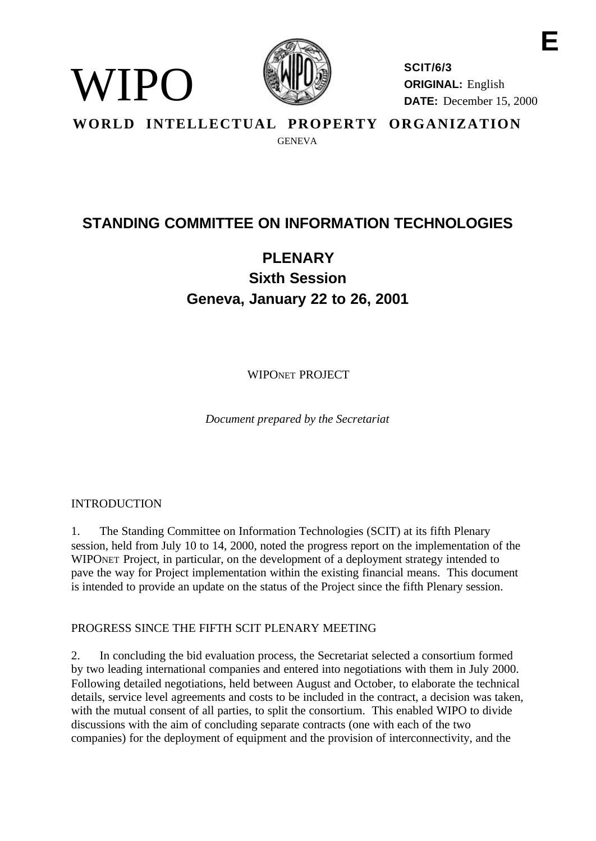

**SCIT/6/3 ORIGINAL:** English **DATE:** December 15, 2000

**WORLD INTELLECTUAL PROPERTY ORGANIZATION GENEVA** 

## **STANDING COMMITTEE ON INFORMATION TECHNOLOGIES**

# **PLENARY Sixth Session Geneva, January 22 to 26, 2001**

WIPONET PROJECT

*Document prepared by the Secretariat*

## INTRODUCTION

WIPO)

1. The Standing Committee on Information Technologies (SCIT) at its fifth Plenary session, held from July 10 to 14, 2000, noted the progress report on the implementation of the WIPONET Project, in particular, on the development of a deployment strategy intended to pave the way for Project implementation within the existing financial means. This document is intended to provide an update on the status of the Project since the fifth Plenary session.

#### PROGRESS SINCE THE FIFTH SCIT PLENARY MEETING

2. In concluding the bid evaluation process, the Secretariat selected a consortium formed by two leading international companies and entered into negotiations with them in July 2000. Following detailed negotiations, held between August and October, to elaborate the technical details, service level agreements and costs to be included in the contract, a decision was taken, with the mutual consent of all parties, to split the consortium. This enabled WIPO to divide discussions with the aim of concluding separate contracts (one with each of the two companies) for the deployment of equipment and the provision of interconnectivity, and the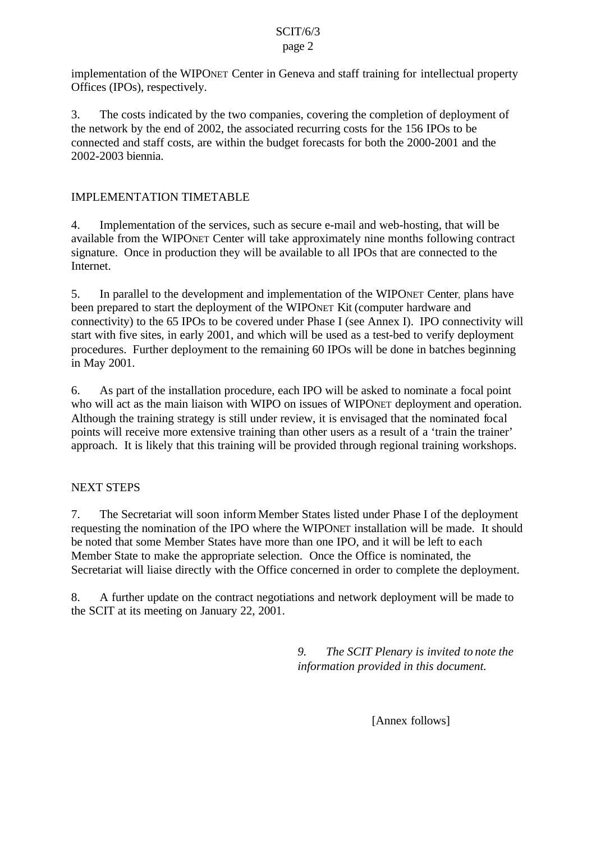#### SCIT/6/3 page 2

implementation of the WIPONET Center in Geneva and staff training for intellectual property Offices (IPOs), respectively.

3. The costs indicated by the two companies, covering the completion of deployment of the network by the end of 2002, the associated recurring costs for the 156 IPOs to be connected and staff costs, are within the budget forecasts for both the 2000-2001 and the 2002-2003 biennia.

## IMPLEMENTATION TIMETABLE

4. Implementation of the services, such as secure e-mail and web-hosting, that will be available from the WIPONET Center will take approximately nine months following contract signature. Once in production they will be available to all IPOs that are connected to the Internet.

5. In parallel to the development and implementation of the WIPONET Center, plans have been prepared to start the deployment of the WIPONET Kit (computer hardware and connectivity) to the 65 IPOs to be covered under Phase I (see Annex I). IPO connectivity will start with five sites, in early 2001, and which will be used as a test-bed to verify deployment procedures. Further deployment to the remaining 60 IPOs will be done in batches beginning in May 2001.

6. As part of the installation procedure, each IPO will be asked to nominate a focal point who will act as the main liaison with WIPO on issues of WIPONET deployment and operation. Although the training strategy is still under review, it is envisaged that the nominated focal points will receive more extensive training than other users as a result of a 'train the trainer' approach. It is likely that this training will be provided through regional training workshops.

## NEXT STEPS

7. The Secretariat will soon inform Member States listed under Phase I of the deployment requesting the nomination of the IPO where the WIPONET installation will be made. It should be noted that some Member States have more than one IPO, and it will be left to each Member State to make the appropriate selection. Once the Office is nominated, the Secretariat will liaise directly with the Office concerned in order to complete the deployment.

8. A further update on the contract negotiations and network deployment will be made to the SCIT at its meeting on January 22, 2001.

> *9. The SCIT Plenary is invited to note the information provided in this document.*

> > [Annex follows]